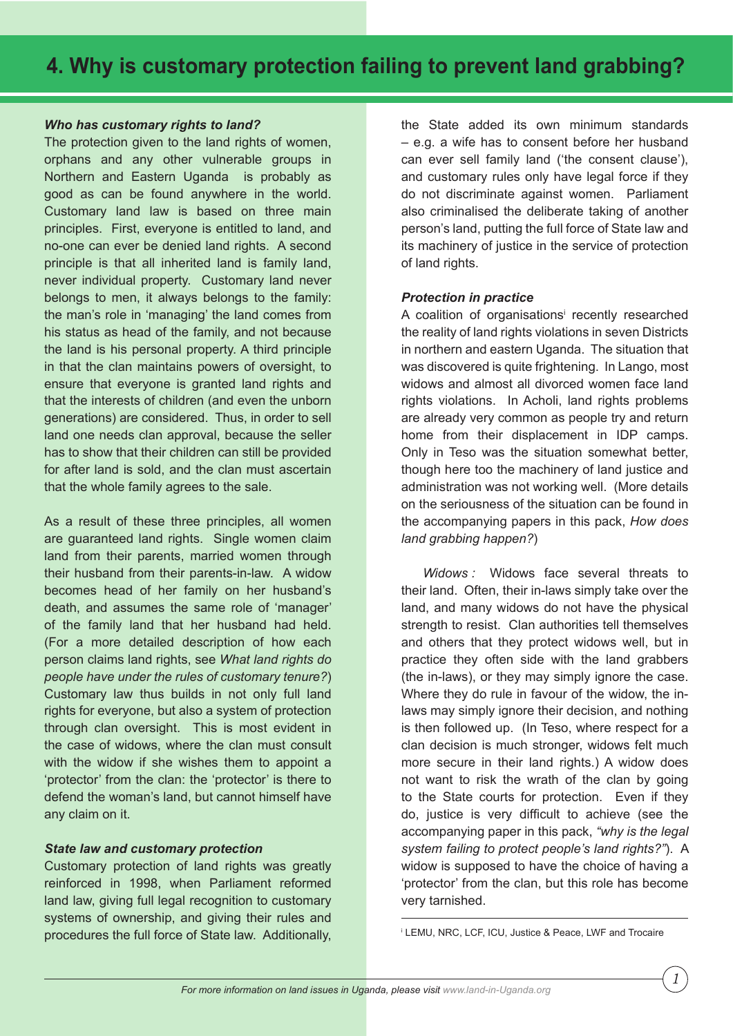# **4. Why is customary protection failing to prevent land grabbing?**

## *Who has customary rights to land?*

The protection given to the land rights of women. orphans and any other vulnerable groups in Northern and Eastern Uganda is probably as good as can be found anywhere in the world. Customary land law is based on three main principles. First, everyone is entitled to land, and no-one can ever be denied land rights. A second principle is that all inherited land is family land, never individual property. Customary land never belongs to men, it always belongs to the family: the man's role in 'managing' the land comes from his status as head of the family, and not because the land is his personal property. A third principle in that the clan maintains powers of oversight, to ensure that everyone is granted land rights and that the interests of children (and even the unborn generations) are considered. Thus, in order to sell land one needs clan approval, because the seller has to show that their children can still be provided for after land is sold, and the clan must ascertain that the whole family agrees to the sale.

As a result of these three principles, all women are guaranteed land rights. Single women claim land from their parents, married women through their husband from their parents-in-law. A widow becomes head of her family on her husband's death, and assumes the same role of 'manager' of the family land that her husband had held. (For a more detailed description of how each person claims land rights, see *What land rights do people have under the rules of customary tenure?*) Customary law thus builds in not only full land rights for everyone, but also a system of protection through clan oversight. This is most evident in the case of widows, where the clan must consult with the widow if she wishes them to appoint a 'protector' from the clan: the 'protector' is there to defend the woman's land, but cannot himself have any claim on it.

### *State law and customary protection*

Customary protection of land rights was greatly reinforced in 1998, when Parliament reformed land law, giving full legal recognition to customary systems of ownership, and giving their rules and procedures the full force of State law. Additionally, the State added its own minimum standards – e.g. a wife has to consent before her husband can ever sell family land ('the consent clause'), and customary rules only have legal force if they do not discriminate against women. Parliament also criminalised the deliberate taking of another person's land, putting the full force of State law and its machinery of justice in the service of protection of land rights.

## *Protection in practice*

A coalition of organisations' recently researched the reality of land rights violations in seven Districts in northern and eastern Uganda. The situation that was discovered is quite frightening. In Lango, most widows and almost all divorced women face land rights violations. In Acholi, land rights problems are already very common as people try and return home from their displacement in IDP camps. Only in Teso was the situation somewhat better, though here too the machinery of land justice and administration was not working well. (More details on the seriousness of the situation can be found in the accompanying papers in this pack, *How does land grabbing happen?*)

 *Widows :* Widows face several threats to their land. Often, their in-laws simply take over the land, and many widows do not have the physical strength to resist. Clan authorities tell themselves and others that they protect widows well, but in practice they often side with the land grabbers (the in-laws), or they may simply ignore the case. Where they do rule in favour of the widow, the inlaws may simply ignore their decision, and nothing is then followed up. (In Teso, where respect for a clan decision is much stronger, widows felt much more secure in their land rights.) A widow does not want to risk the wrath of the clan by going to the State courts for protection. Even if they do, justice is very difficult to achieve (see the accompanying paper in this pack, *"why is the legal system failing to protect people's land rights?"*). A widow is supposed to have the choice of having a 'protector' from the clan, but this role has become very tarnished.

i LEMU, NRC, LCF, ICU, Justice & Peace, LWF and Trocaire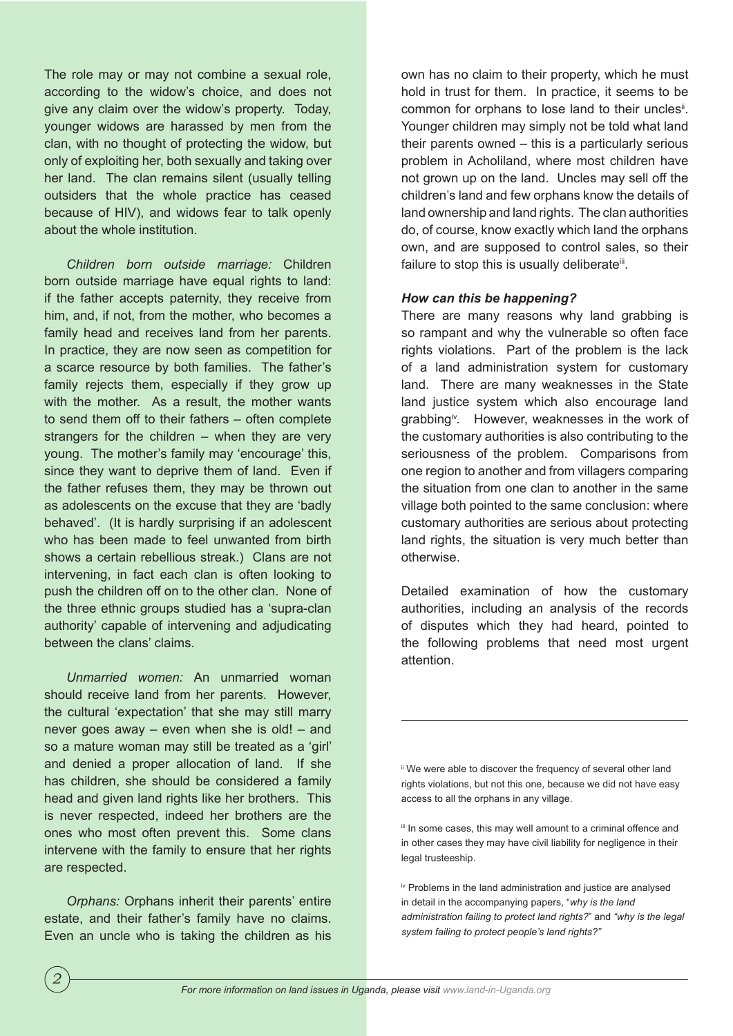The role may or may not combine a sexual role, according to the widow's choice, and does not give any claim over the widow's property. Today, younger widows are harassed by men from the clan, with no thought of protecting the widow, but only of exploiting her, both sexually and taking over her land. The clan remains silent (usually telling outsiders that the whole practice has ceased because of HIV), and widows fear to talk openly about the whole institution.

*Children born outside marriage:* Children born outside marriage have equal rights to land: if the father accepts paternity, they receive from him, and, if not, from the mother, who becomes a family head and receives land from her parents. In practice, they are now seen as competition for a scarce resource by both families. The father's family rejects them, especially if they grow up with the mother. As a result, the mother wants to send them off to their fathers – often complete strangers for the children – when they are very young. The mother's family may 'encourage' this, since they want to deprive them of land. Even if the father refuses them, they may be thrown out as adolescents on the excuse that they are 'badly behaved'. (It is hardly surprising if an adolescent who has been made to feel unwanted from birth shows a certain rebellious streak.) Clans are not intervening, in fact each clan is often looking to push the children off on to the other clan. None of the three ethnic groups studied has a 'supra-clan authority' capable of intervening and adjudicating between the clans' claims.

*Unmarried women:* An unmarried woman should receive land from her parents. However, the cultural 'expectation' that she may still marry never goes away – even when she is old! – and so a mature woman may still be treated as a 'girl' and denied a proper allocation of land. If she has children, she should be considered a family head and given land rights like her brothers. This is never respected, indeed her brothers are the ones who most often prevent this. Some clans intervene with the family to ensure that her rights are respected.

*Orphans:* Orphans inherit their parents' entire estate, and their father's family have no claims. Even an uncle who is taking the children as his own has no claim to their property, which he must hold in trust for them. In practice, it seems to be common for orphans to lose land to their uncles<sup>it</sup>. Younger children may simply not be told what land their parents owned – this is a particularly serious problem in Acholiland, where most children have not grown up on the land. Uncles may sell off the children's land and few orphans know the details of land ownership and land rights. The clan authorities do, of course, know exactly which land the orphans own, and are supposed to control sales, so their failure to stop this is usually deliberate<sup>iii</sup>.

### *How can this be happening?*

There are many reasons why land grabbing is so rampant and why the vulnerable so often face rights violations. Part of the problem is the lack of a land administration system for customary land. There are many weaknesses in the State land justice system which also encourage land grabbing<sup>iv</sup>. However, weaknesses in the work of the customary authorities is also contributing to the seriousness of the problem. Comparisons from one region to another and from villagers comparing the situation from one clan to another in the same village both pointed to the same conclusion: where customary authorities are serious about protecting land rights, the situation is very much better than otherwise.

Detailed examination of how the customary authorities, including an analysis of the records of disputes which they had heard, pointed to the following problems that need most urgent attention.

ii We were able to discover the frequency of several other land rights violations, but not this one, because we did not have easy access to all the orphans in any village.

iii In some cases, this may well amount to a criminal offence and in other cases they may have civil liability for negligence in their legal trusteeship.

iv Problems in the land administration and justice are analysed in detail in the accompanying papers, "*why is the land administration failing to protect land rights?*" and *"why is the legal system failing to protect people's land rights?"*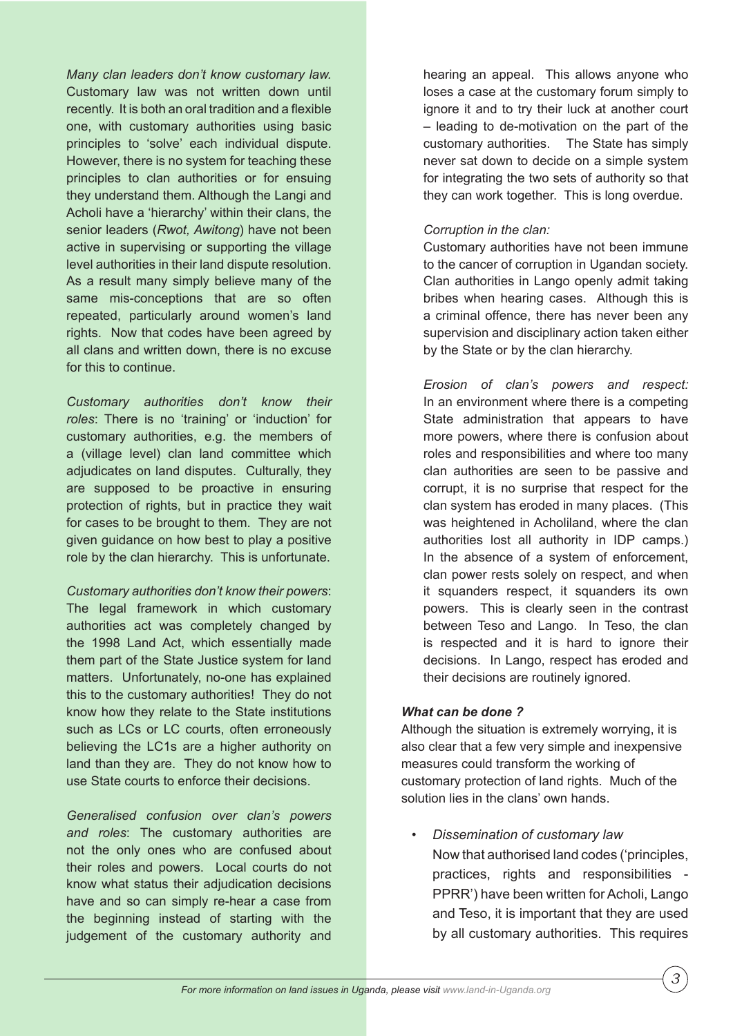*Many clan leaders don't know customary law.*  Customary law was not written down until recently. It is both an oral tradition and a flexible one, with customary authorities using basic principles to 'solve' each individual dispute. However, there is no system for teaching these principles to clan authorities or for ensuing they understand them. Although the Langi and Acholi have a 'hierarchy' within their clans, the senior leaders (*Rwot, Awitong*) have not been active in supervising or supporting the village level authorities in their land dispute resolution. As a result many simply believe many of the same mis-conceptions that are so often repeated, particularly around women's land rights. Now that codes have been agreed by all clans and written down, there is no excuse for this to continue.

*Customary authorities don't know their roles*: There is no 'training' or 'induction' for customary authorities, e.g. the members of a (village level) clan land committee which adjudicates on land disputes. Culturally, they are supposed to be proactive in ensuring protection of rights, but in practice they wait for cases to be brought to them. They are not given guidance on how best to play a positive role by the clan hierarchy. This is unfortunate.

*Customary authorities don't know their powers*: The legal framework in which customary authorities act was completely changed by the 1998 Land Act, which essentially made them part of the State Justice system for land matters. Unfortunately, no-one has explained this to the customary authorities! They do not know how they relate to the State institutions such as LCs or LC courts, often erroneously believing the LC1s are a higher authority on land than they are. They do not know how to use State courts to enforce their decisions.

*Generalised confusion over clan's powers and roles*: The customary authorities are not the only ones who are confused about their roles and powers. Local courts do not know what status their adjudication decisions have and so can simply re-hear a case from the beginning instead of starting with the judgement of the customary authority and

hearing an appeal. This allows anyone who loses a case at the customary forum simply to ignore it and to try their luck at another court – leading to de-motivation on the part of the customary authorities. The State has simply never sat down to decide on a simple system for integrating the two sets of authority so that they can work together. This is long overdue.

## *Corruption in the clan:*

Customary authorities have not been immune to the cancer of corruption in Ugandan society. Clan authorities in Lango openly admit taking bribes when hearing cases. Although this is a criminal offence, there has never been any supervision and disciplinary action taken either by the State or by the clan hierarchy.

*Erosion of clan's powers and respect:*  In an environment where there is a competing State administration that appears to have more powers, where there is confusion about roles and responsibilities and where too many clan authorities are seen to be passive and corrupt, it is no surprise that respect for the clan system has eroded in many places. (This was heightened in Acholiland, where the clan authorities lost all authority in IDP camps.) In the absence of a system of enforcement, clan power rests solely on respect, and when it squanders respect, it squanders its own powers. This is clearly seen in the contrast between Teso and Lango. In Teso, the clan is respected and it is hard to ignore their decisions. In Lango, respect has eroded and their decisions are routinely ignored.

## *What can be done ?*

Although the situation is extremely worrying, it is also clear that a few very simple and inexpensive measures could transform the working of customary protection of land rights. Much of the solution lies in the clans' own hands.

• *Dissemination of customary law* Now that authorised land codes ('principles, practices, rights and responsibilities - PPRR') have been written for Acholi, Lango and Teso, it is important that they are used by all customary authorities. This requires